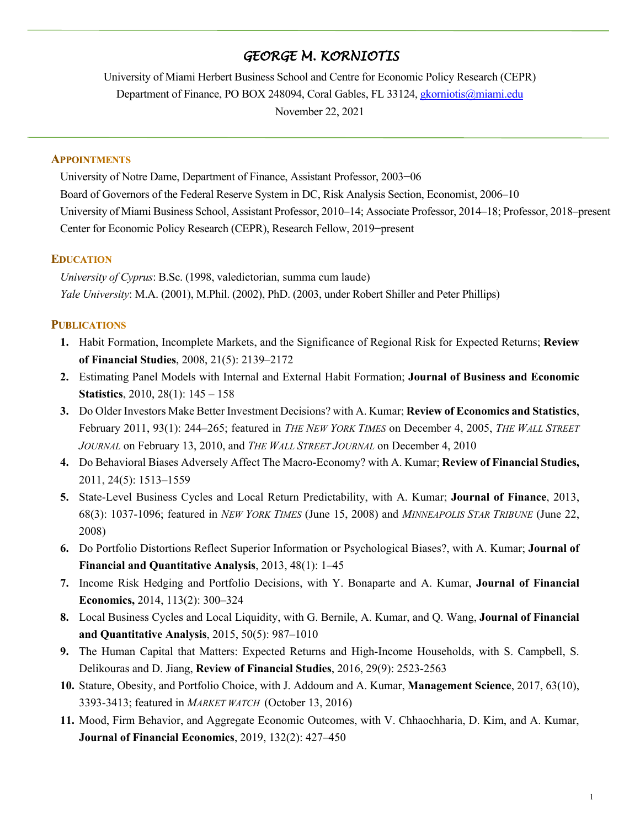# *GEORGE M. KORNIOTIS*

University of Miami Herbert Business School and Centre for Economic Policy Research (CEPR) Department of Finance, PO BOX 248094, Coral Gables, FL 33124, gkorniotis@miami.edu November 22, 2021

#### **APPOINTMENTS**

University of Notre Dame, Department of Finance, Assistant Professor, 2003**−**06 Board of Governors of the Federal Reserve System in DC, Risk Analysis Section, Economist, 2006–10 University of Miami Business School, Assistant Professor, 2010–14; Associate Professor, 2014–18; Professor, 2018–present Center for Economic Policy Research (CEPR), Research Fellow, 2019**−**present

## **EDUCATION**

*University of Cyprus*: B.Sc. (1998, valedictorian, summa cum laude) *Yale University*: M.A. (2001), M.Phil. (2002), PhD. (2003, under Robert Shiller and Peter Phillips)

## **PUBLICATIONS**

- **1.** Habit Formation, Incomplete Markets, and the Significance of Regional Risk for Expected Returns; **Review of Financial Studies**, 2008, 21(5): 2139–2172
- **2.** Estimating Panel Models with Internal and External Habit Formation; **Journal of Business and Economic Statistics**, 2010, 28(1): 145 – 158
- **3.** Do Older Investors Make Better Investment Decisions? with A. Kumar; **Review of Economics and Statistics**, February 2011, 93(1): 244–265; featured in *THE NEW YORK TIMES* on December 4, 2005, *THE WALL STREET JOURNAL* on February 13, 2010, and *THE WALL STREET JOURNAL* on December 4, 2010
- **4.** Do Behavioral Biases Adversely Affect The Macro-Economy? with A. Kumar; **Review of Financial Studies,** 2011, 24(5): 1513–1559
- **5.** State-Level Business Cycles and Local Return Predictability, with A. Kumar; **Journal of Finance**, 2013, 68(3): 1037-1096; featured in *NEW YORK TIMES* (June 15, 2008) and *MINNEAPOLIS STAR TRIBUNE* (June 22, 2008)
- **6.** Do Portfolio Distortions Reflect Superior Information or Psychological Biases?, with A. Kumar; **Journal of Financial and Quantitative Analysis**, 2013, 48(1): 1–45
- **7.** Income Risk Hedging and Portfolio Decisions, with Y. Bonaparte and A. Kumar, **Journal of Financial Economics,** 2014, 113(2): 300–324
- **8.** Local Business Cycles and Local Liquidity, with G. Bernile, A. Kumar, and Q. Wang, **Journal of Financial and Quantitative Analysis**, 2015, 50(5): 987–1010
- **9.** The Human Capital that Matters: Expected Returns and High-Income Households, with S. Campbell, S. Delikouras and D. Jiang, **Review of Financial Studies**, 2016, 29(9): 2523-2563
- **10.** Stature, Obesity, and Portfolio Choice, with J. Addoum and A. Kumar, **Management Science**, 2017, 63(10), 3393-3413; featured in *MARKET WATCH* (October 13, 2016)
- **11.** Mood, Firm Behavior, and Aggregate Economic Outcomes, with V. Chhaochharia, D. Kim, and A. Kumar, **Journal of Financial Economics**, 2019, 132(2): 427–450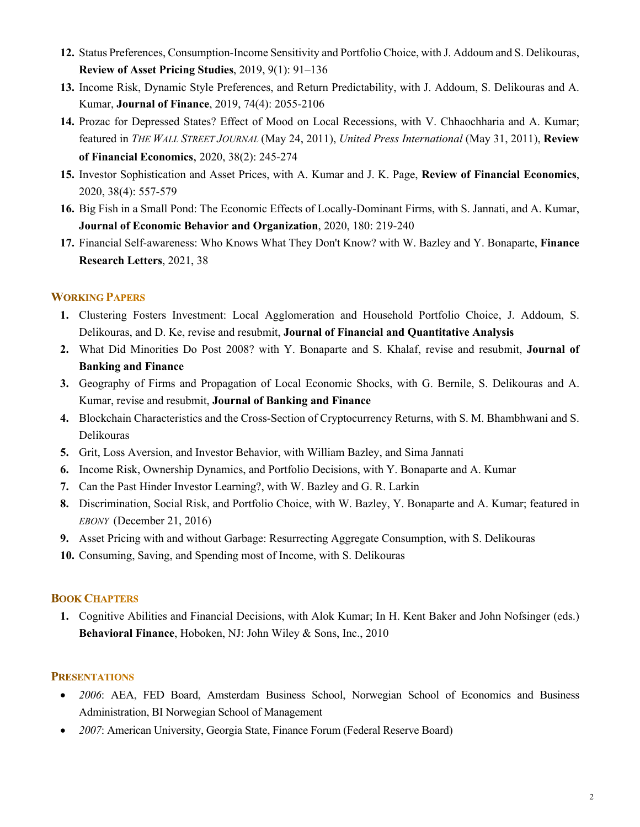- **12.** Status Preferences, Consumption-Income Sensitivity and Portfolio Choice, with J. Addoum and S. Delikouras, **Review of Asset Pricing Studies**, 2019, 9(1): 91–136
- **13.** Income Risk, Dynamic Style Preferences, and Return Predictability, with J. Addoum, S. Delikouras and A. Kumar, **Journal of Finance**, 2019, 74(4): 2055-2106
- **14.** Prozac for Depressed States? Effect of Mood on Local Recessions, with V. Chhaochharia and A. Kumar; featured in *THE WALL STREET JOURNAL* (May 24, 2011), *United Press International* (May 31, 2011), **Review of Financial Economics**, 2020, 38(2): 245-274
- **15.** Investor Sophistication and Asset Prices, with A. Kumar and J. K. Page, **Review of Financial Economics**, 2020, 38(4): 557-579
- **16.** Big Fish in a Small Pond: The Economic Effects of Locally-Dominant Firms, with S. Jannati, and A. Kumar, **Journal of Economic Behavior and Organization**, 2020, 180: 219-240
- **17.** Financial Self-awareness: Who Knows What They Don't Know? with W. Bazley and Y. Bonaparte, **Finance Research Letters**, 2021, 38

## **WORKING PAPERS**

- **1.** Clustering Fosters Investment: Local Agglomeration and Household Portfolio Choice, J. Addoum, S. Delikouras, and D. Ke, revise and resubmit, **Journal of Financial and Quantitative Analysis**
- **2.** What Did Minorities Do Post 2008? with Y. Bonaparte and S. Khalaf, revise and resubmit, **Journal of Banking and Finance**
- **3.** Geography of Firms and Propagation of Local Economic Shocks, with G. Bernile, S. Delikouras and A. Kumar, revise and resubmit, **Journal of Banking and Finance**
- **4.** Blockchain Characteristics and the Cross-Section of Cryptocurrency Returns, with S. M. Bhambhwani and S. Delikouras
- **5.** Grit, Loss Aversion, and Investor Behavior, with William Bazley, and Sima Jannati
- **6.** Income Risk, Ownership Dynamics, and Portfolio Decisions, with Y. Bonaparte and A. Kumar
- **7.** Can the Past Hinder Investor Learning?, with W. Bazley and G. R. Larkin
- **8.** Discrimination, Social Risk, and Portfolio Choice, with W. Bazley, Y. Bonaparte and A. Kumar; featured in *EBONY* (December 21, 2016)
- **9.** Asset Pricing with and without Garbage: Resurrecting Aggregate Consumption, with S. Delikouras
- **10.** Consuming, Saving, and Spending most of Income, with S. Delikouras

## **BOOK CHAPTERS**

**1.** Cognitive Abilities and Financial Decisions, with Alok Kumar; In H. Kent Baker and John Nofsinger (eds.) **Behavioral Finance**, Hoboken, NJ: John Wiley & Sons, Inc., 2010

## **PRESENTATIONS**

- *2006*: AEA, FED Board, Amsterdam Business School, Norwegian School of Economics and Business Administration, BI Norwegian School of Management
- *2007*: American University, Georgia State, Finance Forum (Federal Reserve Board)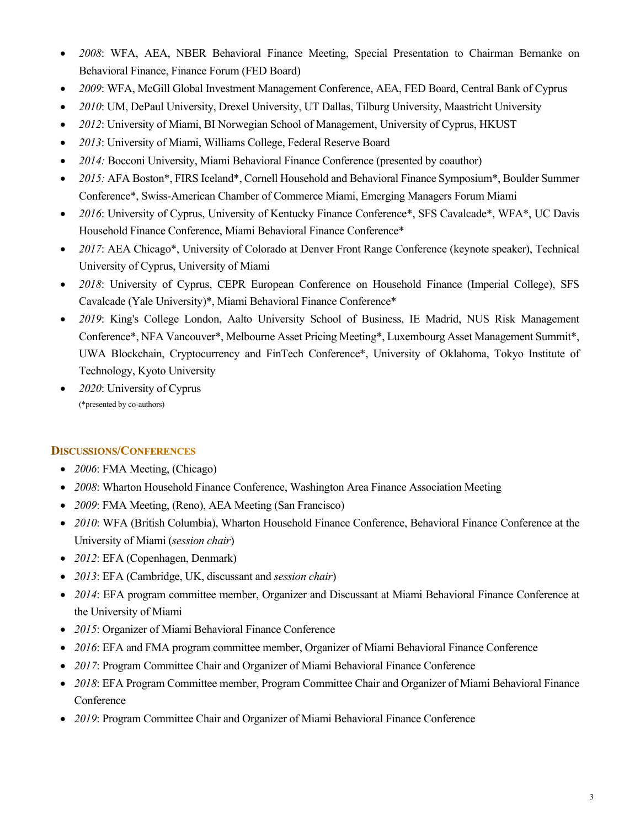- *2008*: WFA, AEA, NBER Behavioral Finance Meeting, Special Presentation to Chairman Bernanke on Behavioral Finance, Finance Forum (FED Board)
- *2009*: WFA, McGill Global Investment Management Conference, AEA, FED Board, Central Bank of Cyprus
- *2010*: UM, DePaul University, Drexel University, UT Dallas, Tilburg University, Maastricht University
- *2012*: University of Miami, BI Norwegian School of Management, University of Cyprus, HKUST
- *2013*: University of Miami, Williams College, Federal Reserve Board
- *2014:* Bocconi University, Miami Behavioral Finance Conference (presented by coauthor)
- *2015:* AFA Boston\*, FIRS Iceland\*, Cornell Household and Behavioral Finance Symposium\*, Boulder Summer Conference\*, Swiss-American Chamber of Commerce Miami, Emerging Managers Forum Miami
- *2016*: University of Cyprus, University of Kentucky Finance Conference\*, SFS Cavalcade\*, WFA\*, UC Davis Household Finance Conference, Miami Behavioral Finance Conference\*
- *2017*: AEA Chicago\*, University of Colorado at Denver Front Range Conference (keynote speaker), Technical University of Cyprus, University of Miami
- *2018*: University of Cyprus, CEPR European Conference on Household Finance (Imperial College), SFS Cavalcade (Yale University)\*, Miami Behavioral Finance Conference\*
- *2019*: King's College London, Aalto University School of Business, IE Madrid, NUS Risk Management Conference\*, NFA Vancouver\*, Melbourne Asset Pricing Meeting\*, Luxembourg Asset Management Summit\*, UWA Blockchain, Cryptocurrency and FinTech Conference\*, University of Oklahoma, Tokyo Institute of Technology, Kyoto University
- *2020*: University of Cyprus (\*presented by co-authors)

# **DISCUSSIONS/CONFERENCES**

- *2006*: FMA Meeting, (Chicago)
- *2008*: Wharton Household Finance Conference, Washington Area Finance Association Meeting
- *2009*: FMA Meeting, (Reno), AEA Meeting (San Francisco)
- *2010*: WFA (British Columbia), Wharton Household Finance Conference, Behavioral Finance Conference at the University of Miami (*session chair*)
- *2012*: EFA (Copenhagen, Denmark)
- *2013*: EFA (Cambridge, UK, discussant and *session chair*)
- *2014*: EFA program committee member, Organizer and Discussant at Miami Behavioral Finance Conference at the University of Miami
- *2015*: Organizer of Miami Behavioral Finance Conference
- *2016*: EFA and FMA program committee member, Organizer of Miami Behavioral Finance Conference
- *2017*: Program Committee Chair and Organizer of Miami Behavioral Finance Conference
- 2018: EFA Program Committee member, Program Committee Chair and Organizer of Miami Behavioral Finance **Conference**
- *2019*: Program Committee Chair and Organizer of Miami Behavioral Finance Conference